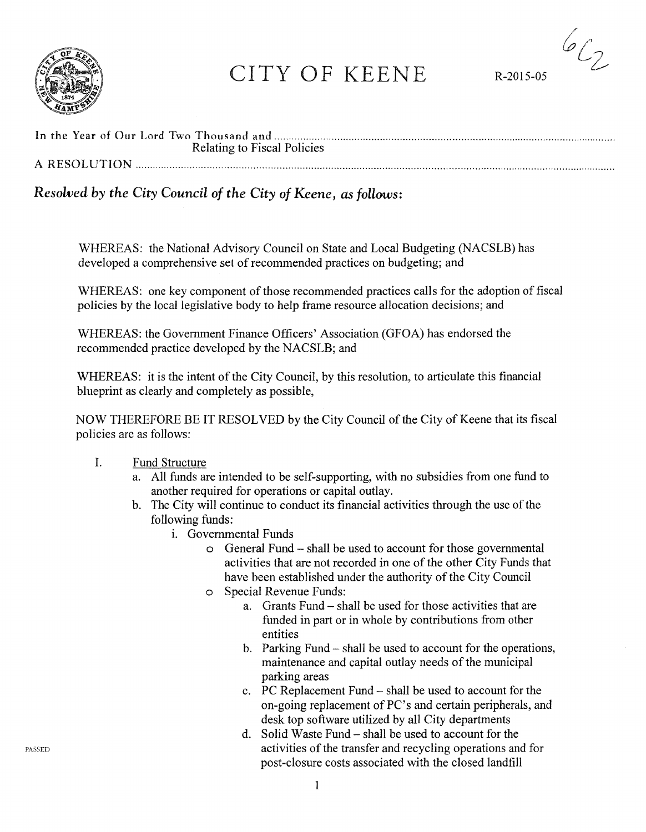

# CITY OF KEENE R-2015-05

 $6\ell_2$ 

| Relating to Fiscal Policies |
|-----------------------------|
| A RESOLUTION                |

# *Resolved by the City Council of the City of Keene, as follows:*

WHEREAS: the National Advisory Council on State and Local Budgeting (NACSLB) has developed a comprehensive set of recommended practices on budgeting; and

WHEREAS: one key component of those recommended practices calls for the adoption of fiscal policies by the local legislative body to help frame resource allocation decisions; and

WHEREAS: the Government Finance Officers' Association (GFOA) has endorsed the recommended practice developed by the NACSLB; and

WHEREAS: it is the intent of the City Council, by this resolution, to articulate this financial blueprint as clearly and completely as possible,

NOW THEREFORE BE IT RESOLVED by the City Council of the City of Keene that its fiscal policies are as follows:

## I. Fund Structure

- a. All funds are intended to be self-supporting, with no subsidies from one fund to another required for operations or capital outlay.
- b. The City will continue to conduct its financial activities through the use of the following funds:
	- 1. Governmental Funds
		- o General Fund shall be used to account for those governmental activities that are not recorded in one of the other City Funds that have been established under the authority of the City Council
		- o Special Revenue Funds:
			- a. Grants Fund shall be used for those activities that are funded in part or in whole by contributions from other entities
			- b. Parking Fund- shall be used to account for the operations, maintenance and capital outlay needs of the municipal parking areas
			- c. PC Replacement Fund shall be used to account for the on-going replacement of PC's and certain peripherals, and desk top software utilized by all City departments
			- d. Solid Waste Fund shall be used to account for the activities of the transfer and recycling operations and for post-closure costs associated with the closed landfill

PASSED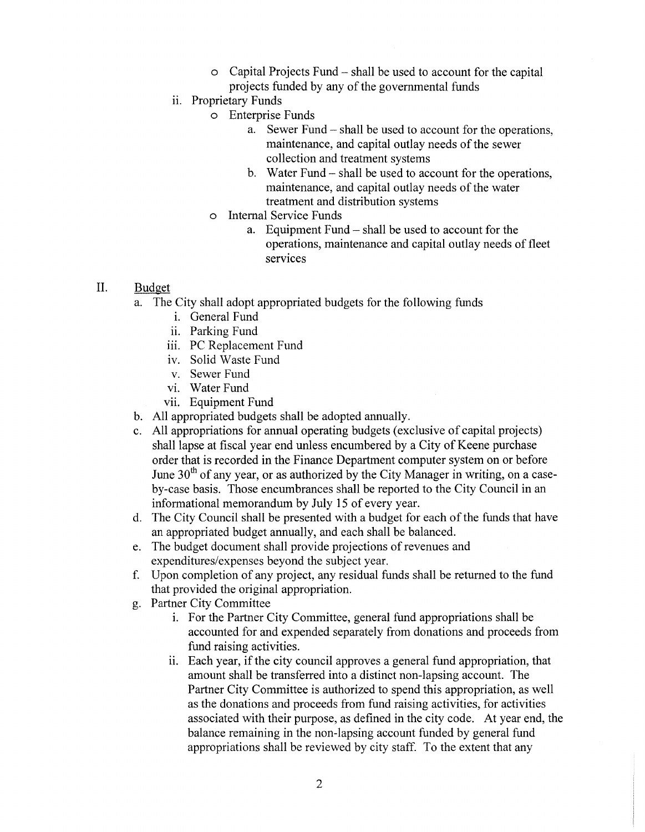- o Capital Projects Fund- shall be used to account for the capital projects funded by any of the governmental funds
- ii. Proprietary Funds
	- o Enterprise Funds
		- a. Sewer Fund shall be used to account for the operations, maintenance, and capital outlay needs of the sewer collection and treatment systems
		- b. Water Fund- shall be used to account for the operations, maintenance, and capital outlay needs of the water treatment and distribution systems
	- o Internal Service Funds
		- a. Equipment Fund shall be used to account for the operations, maintenance and capital outlay needs of fleet services

## II. Budget

- a. The City shall adopt appropriated budgets for the following funds
	- 1. General Fund
	- ii. Parking Fund
	- iii. PC Replacement Fund
	- iv. Solid Waste Fund
	- v. Sewer Fund
	- vi. Water Fund
	- vii. Equipment Fund
- b. All appropriated budgets shall be adopted annually.
- c. All appropriations for annual operating budgets (exclusive of capital projects) shall lapse at fiscal year end unless encumbered by a City of Keene purchase order that is recorded in the Finance Department computer system on or before June  $30<sup>th</sup>$  of any year, or as authorized by the City Manager in writing, on a caseby-case basis. Those encumbrances shall be reported to the City Council in an informational memorandum by July 15 of every year.
- d. The City Council shall be presented with a budget for each of the funds that have an appropriated budget annually, and each shall be balanced.
- e. The budget document shall provide projections of revenues and expenditures/expenses beyond the subject year.
- f. Upon completion of any project, any residual funds shall be returned to the fund that provided the original appropriation.
- g. Partner City Committee
	- 1. For the Partner City Committee, general fund appropriations shall be accounted for and expended separately from donations and proceeds from fund raising activities.
	- ii. Each year, if the city council approves a general fund appropriation, that amount shall be transferred into a distinct non-lapsing account. The Partner City Committee is authorized to spend this appropriation, as well as the donations and proceeds from fund raising activities, for activities associated with their purpose, as defined in the city code. At year end, the balance remaining in the non-lapsing account funded by general fund appropriations shall be reviewed by city staff. To the extent that any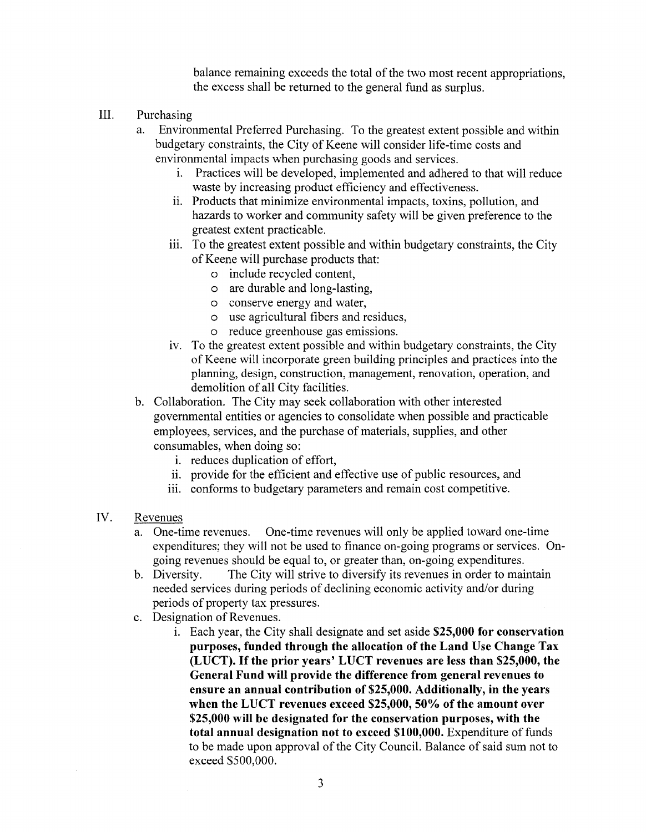balance remaining exceeds the total of the two most recent appropriations, the excess shall be returned to the general fund as surplus.

- III. Purchasing
	- a. Environmental Preferred Purchasing. To the greatest extent possible and within budgetary constraints, the City of Keene will consider life-time costs and environmental impacts when purchasing goods and services.
		- 1. Practices will be developed, implemented and adhered to that will reduce waste by increasing product efficiency and effectiveness.
		- ii. Products that minimize environmental impacts, toxins, pollution, and hazards to worker and community safety will be given preference to the greatest extent practicable.
		- iii. To the greatest extent possible and within budgetary constraints, the City of Keene will purchase products that:
			- o include recycled content,
			- o are durable and long-lasting,
			- o conserve energy and water,
			- o use agricultural fibers and residues,
			- o reduce greenhouse gas emissions.
		- iv. To the greatest extent possible and within budgetary constraints, the City of Keene will incorporate green building principles and practices into the planning, design, construction, management, renovation, operation, and demolition of all City facilities.
	- b. Collaboration. The City may seek collaboration with other interested governmental entities or agencies to consolidate when possible and practicable employees, services, and the purchase of materials, supplies, and other consumables, when doing so:
		- i. reduces duplication of effort,
		- ii. provide for the efficient and effective use of public resources, and
		- iii. conforms to budgetary parameters and remain cost competitive.
- IV. Revenues
	- a. One-time revenues. One-time revenues will only be applied toward one-time expenditures; they will not be used to finance on-going programs or services. Ongoing revenues should be equal to, or greater than, on-going expenditures.
	- b. Diversity. The City will strive to diversify its revenues in order to maintain needed services during periods of declining economic activity and/or during periods of property tax pressures.
	- c. Designation of Revenues.
		- 1. Each year, the City shall designate and set aside **\$25,000 for conservation purposes, funded through the allocation of the Land Use Change Tax (LUCT). If the prior years' LUCT revenues are less than \$25,000, the General Fund will provide the difference from general revenues to ensure an annual contribution of \$25,000. Additionally, in the years when the LUCT revenues exceed \$25,000,50% of the amount over \$25,000 will be designated for the conservation purposes, with the total annual designation not to exceed \$100,000.** Expenditure of funds to be made upon approval of the City Council. Balance of said sum not to exceed \$500,000.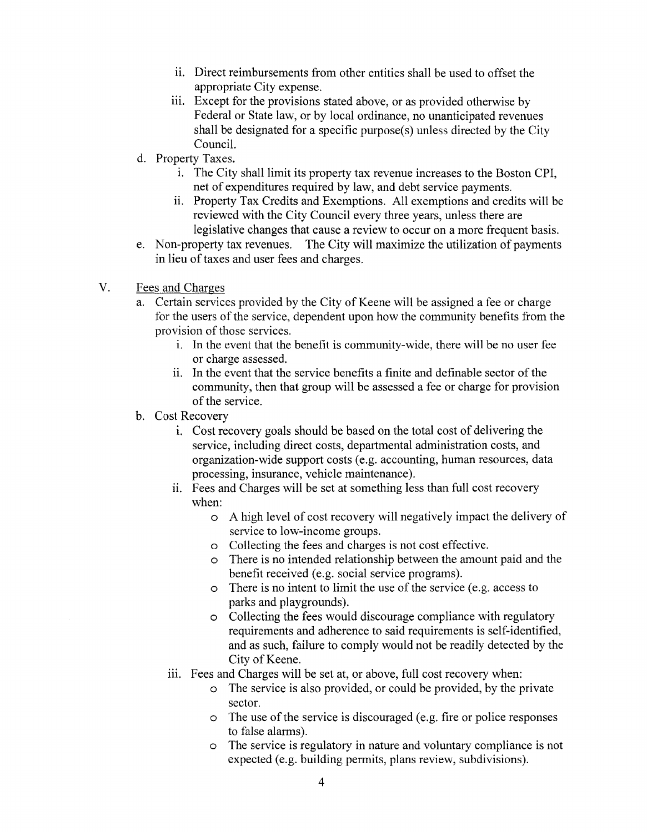- i. Direct reimbursements from other entities shall be used to offset the appropriate City expense.
- iii. Except for the provisions stated above, or as provided otherwise by Federal or State law, or by local ordinance, no unanticipated revenues shall be designated for a specific purpose(s) unless directed by the City Council.
- d. Property Taxes.
	- 1. The City shall limit its property tax revenue increases to the Boston CPI, net of expenditures required by law, and debt service payments.
	- ii. Property Tax Credits and Exemptions. All exemptions and credits will be reviewed with the City Council every three years, unless there are legislative changes that cause a review to occur on a more frequent basis.
- e. Non-property tax revenues. The City will maximize the utilization of payments in lieu of taxes and user fees and charges.
- V. Fees and Charges
	- a. Certain services provided by the City of Keene will be assigned a fee or charge for the users of the service, dependent upon how the community benefits from the provision of those services.
		- 1. In the event that the benefit is community-wide, there will be no user fee or charge assessed.
		- ii. In the event that the service benefits a finite and definable sector of the community, then that group will be assessed a fee or charge for provision of the service.
	- b. Cost Recovery
		- 1. Cost recovery goals should be based on the total cost of delivering the service, including direct costs, departmental administration costs, and organization-wide support costs (e.g. accounting, human resources, data processing, insurance, vehicle maintenance).
		- ii. Fees and Charges will be set at something less than full cost recovery when:
			- o A high level of cost recovery will negatively impact the delivery of service to low-income groups.
			- o Collecting the fees and charges is not cost effective.
			- o There is no intended relationship between the amount paid and the benefit received (e.g. social service programs).
			- o There is no intent to limit the use of the service (e.g. access to parks and playgrounds).
			- o Collecting the fees would discourage compliance with regulatory requirements and adherence to said requirements is self-identified, and as such, failure to comply would not be readily detected by the City of Keene.
		- iii. Fees and Charges will be set at, or above, full cost recovery when:
			- o The service is also provided, or could be provided, by the private sector.
			- $\circ$  The use of the service is discouraged (e.g. fire or police responses to false alarms).
			- o The service is regulatory in nature and voluntary compliance is not expected (e.g. building permits, plans review, subdivisions).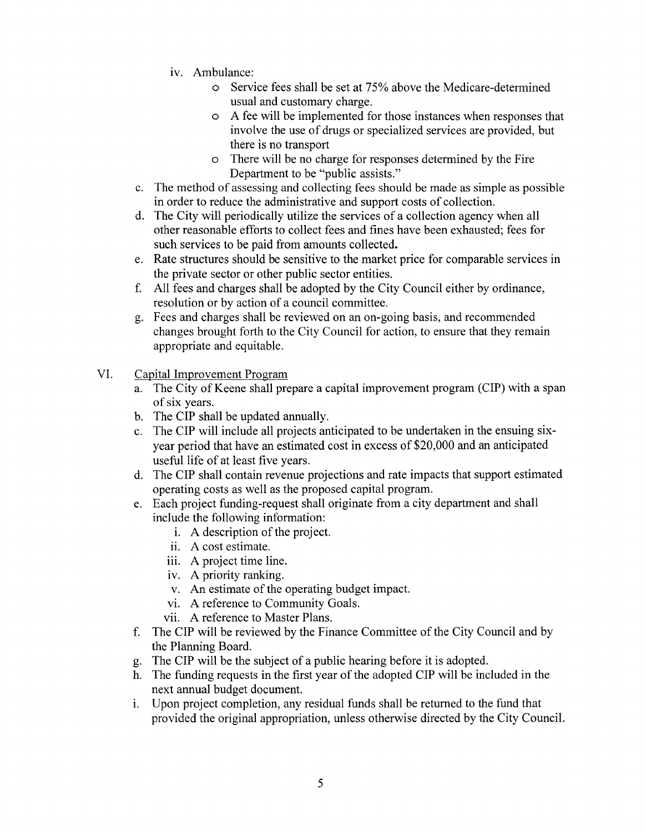- iv. Ambulance:
	- o Service fees shall be set at 75% above the Medicare-determined usual and customary charge.
	- o A fee will be implemented for those instances when responses that involve the use of drugs or specialized services are provided, but there is no transport
	- o There will be no charge for responses determined by the Fire Department to be "public assists."
- c. The method of assessing and collecting fees should be made as simple as possible in order to reduce the administrative and support costs of collection.
- d. The City will periodically utilize the services of a collection agency when all other reasonable efforts to collect fees and fines have been exhausted; fees for such services to be paid from amounts collected.
- e. Rate structures should be sensitive to the market price for comparable services in the private sector or other public sector entities.
- f. All fees and charges shall be adopted by the City Council either by ordinance, resolution or by action of a council committee.
- g. Fees and charges shall be reviewed on an on-going basis, and recommended changes brought forth to the City Council for action, to ensure that they remain appropriate and equitable.
- VI. Capital Improvement Program
	- a. The City of Keene shall prepare a capital improvement program (CIP) with a span of six years.
	- b. The CIP shall be updated annually.
	- c. The CIP will include all projects anticipated to be undertaken in the ensuing sixyear period that have an estimated cost in excess of \$20,000 and an anticipated useful life of at least five years.
	- d. The CIP shall contain revenue projections and rate impacts that support estimated operating costs as well as the proposed capital program.
	- e. Each project funding-request shall originate from a city department and shall include the following information:
		- 1. A description of the project.
		- ii. A cost estimate.
		- iii. A project time line.
		- iv. A priority ranking.
		- v. An estimate of the operating budget impact.
		- vi. A reference to Community Goals.
		- vii. A reference to Master Plans.
	- f. The CIP will be reviewed by the Finance Committee of the City Council and by the Planning Board.
	- g. The CIP will be the subject of a public hearing before it is adopted.
	- h. The funding requests in the first year of the adopted CIP will be included in the next annual budget document.
	- 1. Upon project completion, any residual funds shall be returned to the fund that provided the original appropriation, unless otherwise directed by the City Council.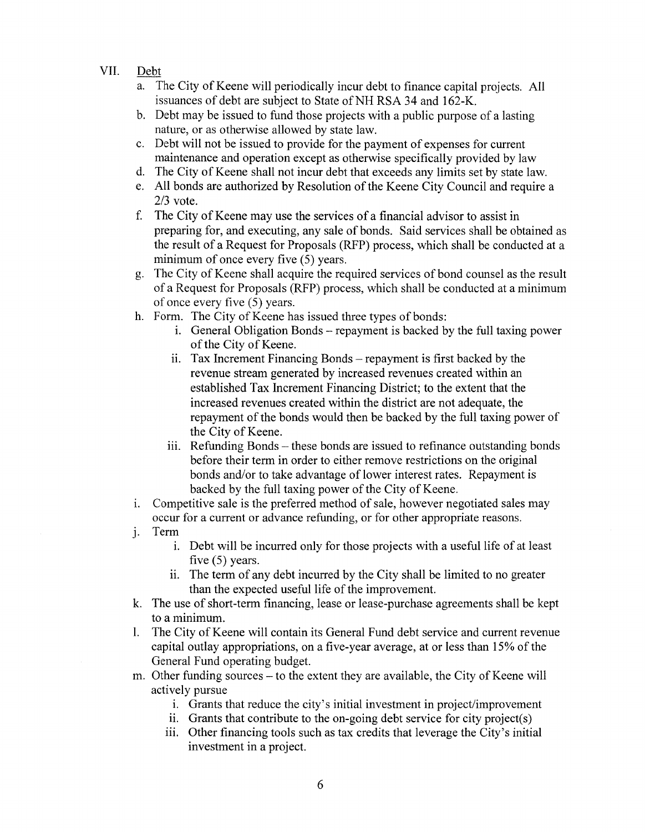# VII. Debt

- a. The City of Keene will periodically incur debt to finance capital projects. All issuances of debt are subject to State of NH RSA 34 and 162-K.
- b. Debt may be issued to fund those projects with a public purpose of a lasting nature, or as otherwise allowed by state law.
- c. Debt will not be issued to provide for the payment of expenses for current maintenance and operation except as otherwise specifically provided by law
- d. The City of Keene shall not incur debt that exceeds any limits set by state law.
- e. All bonds are authorized by Resolution of the Keene City Council and require a 2/3 vote.
- f. The City of Keene may use the services of a financial advisor to assist in preparing for, and executing, any sale of bonds. Said services shall be obtained as the result of a Request for Proposals (RFP) process, which shall be conducted at a minimum of once every five  $(5)$  years.
- g. The City of Keene shall acquire the required services of bond counsel as the result of a Request for Proposals (RFP) process, which shall be conducted at a minimum of once every five (5) years.
- h. Form. The City of Keene has issued three types of bonds:
	- 1. General Obligation Bonds- repayment is backed by the full taxing power of the City of Keene.
	- ii. Tax Increment Financing Bonds repayment is first backed by the revenue stream generated by increased revenues created within an established Tax Increment Financing District; to the extent that the increased revenues created within the district are not adequate, the repayment of the bonds would then be backed by the full taxing power of the City of Keene.
	- iii. Refunding Bonds these bonds are issued to refinance outstanding bonds before their term in order to either remove restrictions on the original bonds and/or to take advantage of lower interest rates. Repayment is backed by the full taxing power of the City of Keene.
- 1. Competitive sale is the preferred method of sale, however negotiated sales may occur for a current or advance refunding, or for other appropriate reasons.
- j. Term
	- 1. Debt will be incurred only for those projects with a useful life of at least five (5) years.
	- i. The term of any debt incurred by the City shall be limited to no greater than the expected useful life of the improvement.
- k. The use of short-term financing, lease or lease-purchase agreements shall be kept to a minimum.
- 1. The City of Keene will contain its General Fund debt service and current revenue capital outlay appropriations, on a five-year average, at or less than 15% of the General Fund operating budget.
- m. Other funding sources to the extent they are available, the City of Keene will actively pursue
	- 1. Grants that reduce the city's initial investment in project/improvement
	- $11.$  Grants that contribute to the on-going debt service for city project(s)
	- iii. Other financing tools such as tax credits that leverage the City's initial investment in a project.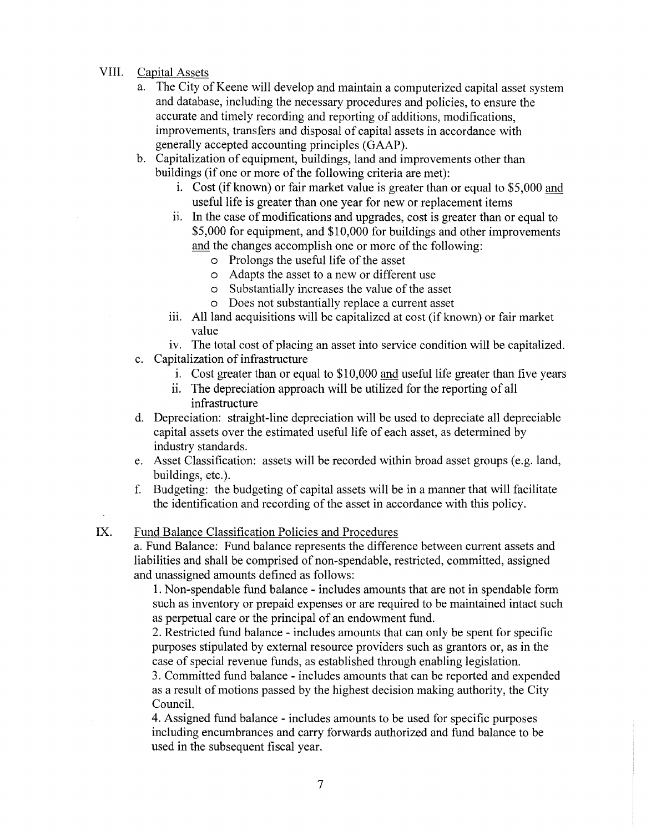#### VIII. Capital Assets

- a. The City of Keene will develop and maintain a computerized capital asset system and database, including the necessary procedures and policies, to ensure the accurate and timely recording and reporting of additions, modifications, improvements, transfers and disposal of capital assets in accordance with generally accepted accounting principles (GAAP).
- b. Capitalization of equipment, buildings, land and improvements other than buildings (if one or more of the following criteria are met):
	- 1. Cost (if known) or fair market value is greater than or equal to \$5,000 and useful life is greater than one year for new or replacement items
	- i. In the case of modifications and upgrades, cost is greater than or equal to \$5,000 for equipment, and \$10,000 for buildings and other improvements and the changes accomplish one or more of the following:
		- o Prolongs the useful life of the asset
		- o Adapts the asset to a new or different use
		- o Substantially increases the value of the asset
		- o Does not substantially replace a current asset
	- iii. All land acquisitions will be capitalized at cost (if known) or fair market value
- iv. The total cost of placing an asset into service condition will be capitalized. c. Capitalization of infrastructure
	- i. Cost greater than or equal to \$10,000 and useful life greater than five years
	- ii. The depreciation approach will be utilized for the reporting of all infrastructure
- d. Depreciation: straight-line depreciation will be used to depreciate all depreciable capital assets over the estimated useful life of each asset, as determined by industry standards.
- e. Asset Classification: assets will be recorded within broad asset groups (e.g. land, buildings, etc.).
- f. Budgeting: the budgeting of capital assets will be in a manner that will facilitate the identification and recording of the asset in accordance with this policy.

# IX. Fund Balance Classification Policies and Procedures

a. Fund Balance: Fund balance represents the difference between current assets and liabilities and shall be comprised of non-spendable, restricted, committed, assigned and unassigned amounts defined as follows:

1. Non-spendable fund balance - includes amounts that are not in spendable form such as inventory or prepaid expenses or are required to be maintained intact such as perpetual care or the principal of an endowment fund.

2. Restricted fund balance- includes amounts that can only be spent for specific purposes stipulated by external resource providers such as grantors or, as in the case of special revenue funds, as established through enabling legislation.

3. Committed fund balance - includes amounts that can be reported and expended as a result of motions passed by the highest decision making authority, the City Council.

4. Assigned fund balance- includes amounts to be used for specific purposes including encumbrances and carry forwards authorized and fund balance to be used in the subsequent fiscal year.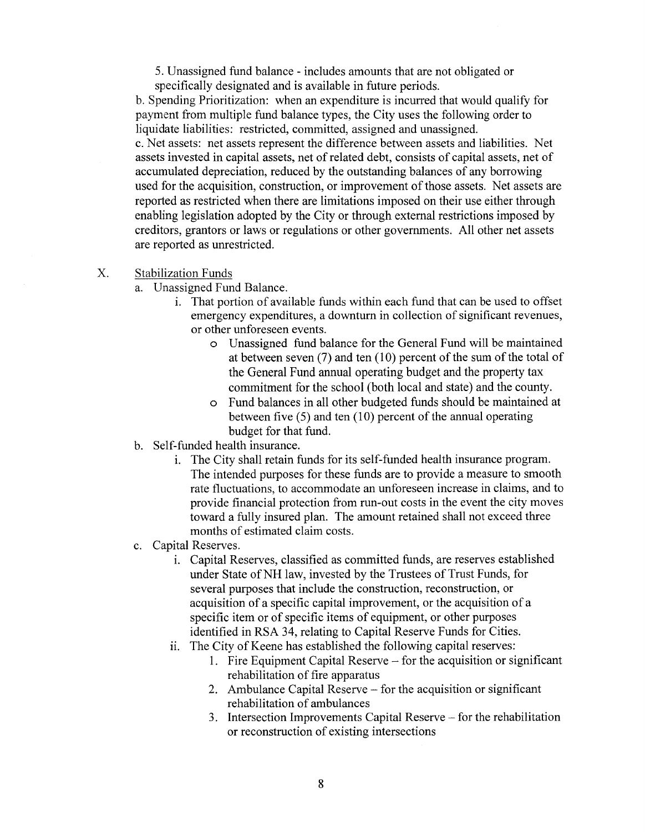5. Unassigned fund balance- includes amounts that are not obligated or specifically designated and is available in future periods.

b. Spending Prioritization: when an expenditure is incurred that would qualify for payment from multiple fund balance types, the City uses the following order to liquidate liabilities: restricted, committed, assigned and unassigned. c. Net assets: net assets represent the difference between assets and liabilities. Net assets invested in capital assets, net of related debt, consists of capital assets, net of accumulated depreciation, reduced by the outstanding balances of any borrowing used for the acquisition, construction, or improvement of those assets. Net assets are reported as restricted when there are limitations imposed on their use either through enabling legislation adopted by the City or through external restrictions imposed by creditors, grantors or laws or regulations or other governments. All other net assets are reported as unrestricted.

- X. Stabilization Funds
	- a. Unassigned Fund Balance.
		- 1. That portion of available funds within each fund that can be used to offset emergency expenditures, a downturn in collection of significant revenues, or other unforeseen events.
			- o Unassigned fund balance for the General Fund will be maintained at between seven  $(7)$  and ten  $(10)$  percent of the sum of the total of the General Fund annual operating budget and the property tax commitment for the school (both local and state) and the county.
			- o Fund balances in all other budgeted funds should be maintained at between five (5) and ten (10) percent of the annual operating budget for that fund.
	- b. Self-funded health insurance.
		- 1. The City shall retain funds for its self-funded health insurance program. The intended purposes for these funds are to provide a measure to smooth rate fluctuations, to accommodate an unforeseen increase in claims, and to provide financial protection from run-out costs in the event the city moves toward a fully insured plan. The amount retained shall not exceed three months of estimated claim costs.
	- c. Capital Reserves.
		- 1. Capital Reserves, classified as committed funds, are reserves established under State of NH law, invested by the Trustees of Trust Funds, for several purposes that include the construction, reconstruction, or acquisition of a specific capital improvement, or the acquisition of a specific item or of specific items of equipment, or other purposes identified in RSA 34, relating to Capital Reserve Funds for Cities.
		- i. The City of Keene has established the following capital reserves:
			- 1. Fire Equipment Capital Reserve for the acquisition or significant rehabilitation of fire apparatus
			- 2. Ambulance Capital Reserve for the acquisition or significant rehabilitation of ambulances
			- 3. Intersection Improvements Capital Reserve for the rehabilitation or reconstruction of existing intersections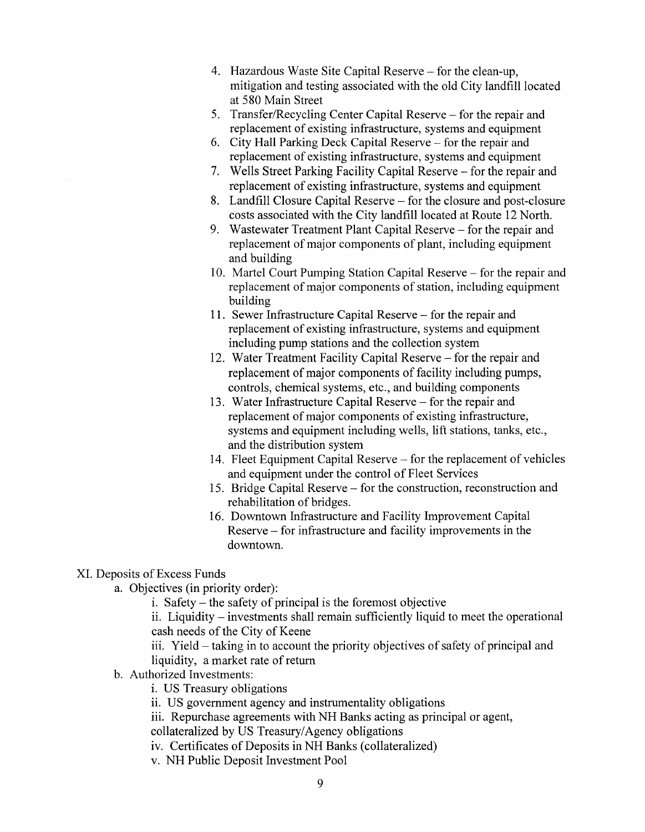- 4. Hazardous Waste Site Capital Reserve for the clean-up, mitigation and testing associated with the old City landfill located at 580 Main Street
- 5. Transfer/Recycling Center Capital Reserve for the repair and replacement of existing infrastructure, systems and equipment
- 6. City Hall Parking Deck Capital Reserve- for the repair and replacement of existing infrastructure, systems and equipment
- 7. Wells Street Parking Facility Capital Reserve- for the repair and replacement of existing infrastructure, systems and equipment
- 8. Landfill Closure Capital Reserve- for the closure and post-closure costs associated with the City landfill located at Route 12 North.
- 9. Wastewater Treatment Plant Capital Reserve- for the repair and replacement of major components of plant, including equipment and building
- 10. Martel Court Pumping Station Capital Reserve- for the repair and replacement of major components of station, including equipment building
- 11. Sewer Infrastructure Capital Reserve for the repair and replacement of existing infrastructure, systems and equipment including pump stations and the collection system
- 12. Water Treatment Facility Capital Reserve- for the repair and replacement of major components of facility including pumps, controls, chemical systems, etc., and building components
- 13. Water Infrastructure Capital Reserve for the repair and replacement of major components of existing infrastructure, systems and equipment including wells, lift stations, tanks, etc., and the distribution system
- 14. Fleet Equipment Capital Reserve- for the replacement of vehicles and equipment under the control of Fleet Services
- 15. Bridge Capital Reserve- for the construction, reconstruction and rehabilitation of bridges.
- 16. Downtown Infrastructure and Facility Improvement Capital Reserve - for infrastructure and facility improvements in the downtown.

# XL Deposits of Excess Funds

- a. Objectives (in priority order):
	- i. Safety- the safety of principal is the foremost objective

ii. Liquidity- investments shall remain sufficiently liquid to meet the operational cash needs of the City of Keene

iii. Yield- taking in to account the priority objectives of safety of principal and liquidity, a market rate of return

- b. Authorized Investments:
	- i. US Treasury obligations
	- ii. US government agency and instrumentality obligations
	- iii. Repurchase agreements with NH Banks acting as principal or agent, collateralized by US Treasury/Agency obligations
	- iv. Certificates of Deposits in NH Banks (collateralized)
	- v. NH Public Deposit Investment Pool